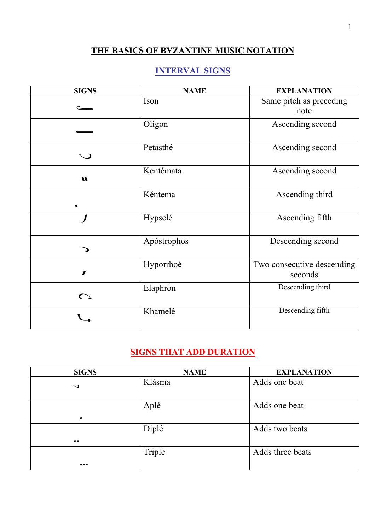## **THE BASICS OF BYZANTINE MUSIC NOTATION**

## **INTERVAL SIGNS**

| <b>SIGNS</b> | <b>NAME</b> | <b>EXPLANATION</b>                    |
|--------------|-------------|---------------------------------------|
|              | Ison        | Same pitch as preceding<br>note       |
|              | Oligon      | Ascending second                      |
| $\mathbf C$  | Petasthé    | Ascending second                      |
| u            | Kentémata   | Ascending second                      |
| <b>V</b>     | Kéntema     | Ascending third                       |
|              | Hypselé     | Ascending fifth                       |
|              | Apóstrophos | Descending second                     |
| $\pmb{J}$    | Hyporrhoé   | Two consecutive descending<br>seconds |
| $\bigcap$    | Elaphrón    | Descending third                      |
|              | Khamelé     | Descending fifth                      |

## **SIGNS THAT ADD DURATION**

| <b>SIGNS</b>             | <b>NAME</b> | <b>EXPLANATION</b> |
|--------------------------|-------------|--------------------|
| $\overline{\phantom{0}}$ | Klásma      | Adds one beat      |
| $\blacksquare$           | Aplé        | Adds one beat      |
| $\bullet$                | Diplé       | Adds two beats     |
|                          | Triplé      | Adds three beats   |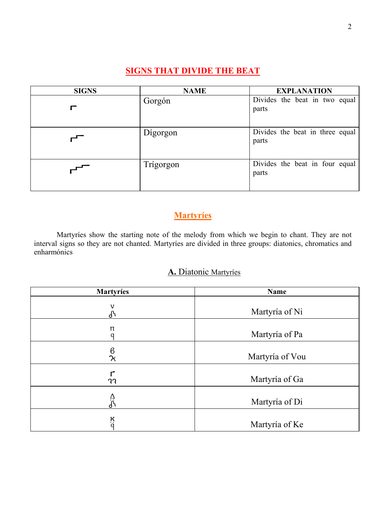## **SIGNS THAT DIVIDE THE BEAT**

| <b>SIGNS</b> | <b>NAME</b> | <b>EXPLANATION</b>                       |
|--------------|-------------|------------------------------------------|
|              | Gorgón      | Divides the beat in two equal<br>parts   |
|              | Digorgon    | Divides the beat in three equal<br>parts |
|              | Trígorgon   | Divides the beat in four equal<br>parts  |

## **Martyríes**

Martyríes show the starting note of the melody from which we begin to chant. They are not interval signs so they are not chanted. Martyríes are divided in three groups: diatonics, chromatics and enharmónics

#### **Α.** Diatonic Martyríes

| <b>Martyries</b>   | <b>Name</b>     |
|--------------------|-----------------|
| $\mathsf v$<br>႕   | Martyría of Ni  |
| π<br>O             | Martyría of Pa  |
| $\frac{6}{\chi}$   | Martyría of Vou |
| าา                 | Martyría of Ga  |
| ᠘<br>᠕             | Martyría of Di  |
| $\frac{\kappa}{q}$ | Martyría of Ke  |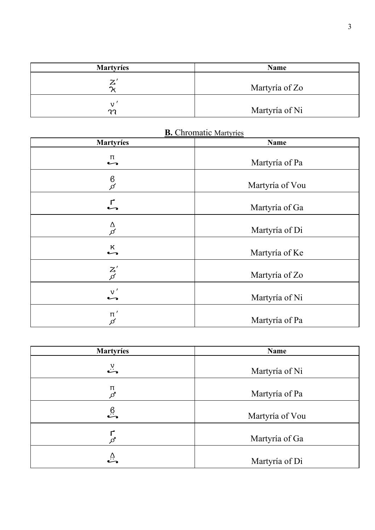| <b>Martyries</b>    | <b>Name</b>    |
|---------------------|----------------|
| $\mathcal{I}$<br>دے | Martyría of Zo |
| าา                  | Martyría of Ni |

| <b>Martyries</b>                            | Name            |
|---------------------------------------------|-----------------|
| п                                           | Martyría of Pa  |
| $\frac{6}{5}$                               | Martyría of Vou |
| $\mathsf{L}$                                | Martyría of Ga  |
| $\frac{\Delta}{\beta}$                      | Martyría of Di  |
| $\sum_{\bullet}^{\mathsf{K}}$               | Martyría of Ke  |
| $\begin{bmatrix} Z' \ \beta' \end{bmatrix}$ | Martyría of Zo  |
| v'                                          | Martyría of Ni  |
| $\pi'$<br>$\beta$                           | Martyría of Pa  |

| <b>B.</b> Chromatic Martyries |
|-------------------------------|
|-------------------------------|

| <b>Martyries</b>      | Name            |
|-----------------------|-----------------|
| ٽ                     | Martyría of Ni  |
| π<br>Ø                | Martyría of Pa  |
| $\stackrel{6}{\cdot}$ | Martyría of Vou |
|                       | Martyría of Ga  |
| ي<br>ڪ                | Martyría of Di  |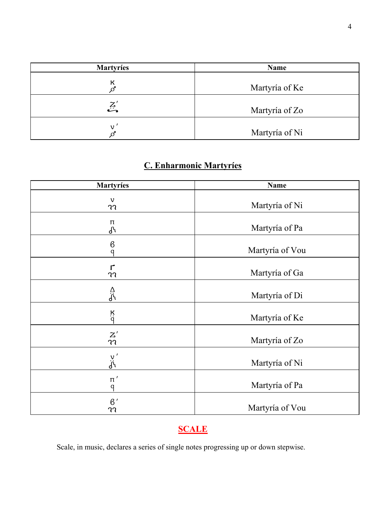| <b>Martyries</b> | Name           |
|------------------|----------------|
| к                | Martyría of Ke |
| کیے<br>مت        | Martyría of Zo |
|                  | Martyría of Ni |

# **C. Enharmonic Martyríes**

| <b>Martyries</b>                      | Name            |
|---------------------------------------|-----------------|
| $\mathbf v$<br>าา                     | Martyría of Ni  |
| π<br>J <sub>0</sub>                   | Martyría of Pa  |
| $\boldsymbol{\beta}$<br>$\mathsf{q}$  | Martyría of Vou |
| $\mathsf{r}$<br>าา                    | Martyría of Ga  |
| ᠘<br>ᢥ                                | Martyría of Di  |
| $\frac{\kappa}{q}$                    | Martyría of Ke  |
| $\frac{Z^{'}}{\mathfrak{N}}$          | Martyría of Zo  |
| $\frac{v}{d^{i}}$                     | Martyría of Ni  |
| $\scriptstyle\rm\pi'$<br>$\mathsf{q}$ | Martyría of Pa  |
| $\beta'$<br>าา                        | Martyría of Vou |

# **SCALE**

Scale, in music, declares a series of single notes progressing up or down stepwise.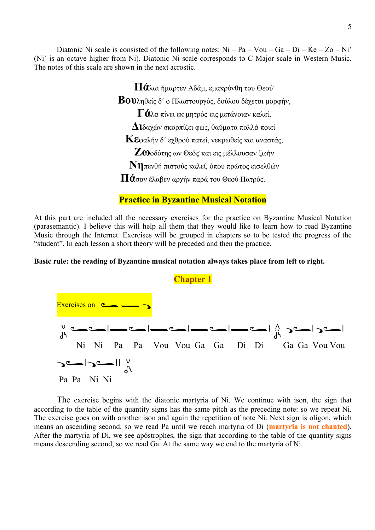Diatonic Ni scale is consisted of the following notes:  $Ni - Pa - Vou - Ga - Di - Ke - Zo - Ni'$ (Ni' is an octave higher from Ni). Diatonic Ni scale corresponds to C Major scale in Western Music. The notes of this scale are shown in the next acrostic.

**Πά**λαι <sup>ή</sup>µαρτεν Αδάµ, εµακρύνθη του Θεού.

**Βου**ληθείς δ΄ <sup>ο</sup> Πλαστουργός, δούλου δέχεται µορφήν,

**Γά**λα πίνει εκ µητρός. εις µετάνοιαν καλεί,

**∆ι**δαχών σκορπίζει φως, θαύµατα πολλά ποιεί.

**Κε**φαλήν δ΄ εχθρού πατεί, νεκρωθείς και αναστάς,

**Ζω**οδότης ων Θεός και εις μέλλουσαν ζωήν

**Νη**πενθή πιστούς καλεί, όπου πρώτος εισελθών

**Πά**σαν έλαβεν αρχήν παρά του Θεού Πατρός.

#### **Practice in Byzantine Musical Notation**

At this part are included all the necessary exercises for the practice on Byzantine Musical Notation (parasemantic). I believe this will help all them that they would like to learn how to read Byzantine Music through the Internet. Exercises will be grouped in chapters so to be tested the progress of the "student". In each lesson a short theory will be preceded and then the practice.

#### **Basic rule: the reading of Byzantine musical notation always takes place from left to right.**



The exercise begins with the diatonic martyria of Ni. We continue with ison, the sign that according to the table of the quantity signs has the same pitch as the preceding note: so we repeat Ni. The exercise goes on with another ison and again the repetition of note Ni. Next sign is oligon, which means an ascending second, so we read Pa until we reach martyria of Di (**martyria is not chanted**). After the martyria of Di, we see apόstrophes, the sign that according to the table of the quantity signs means descending second, so we read Ga. At the same way we end to the martyria of Ni.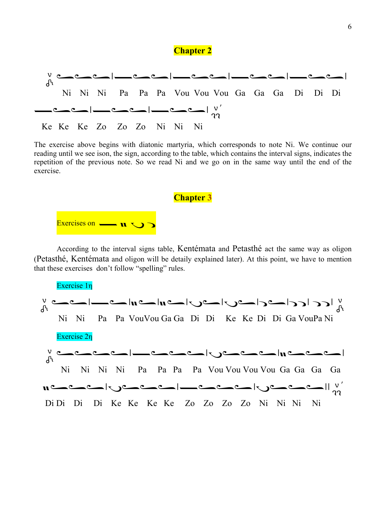#### **Chapter 2**



The exercise above begins with diatonic martyria, which corresponds to note Ni. We continue our reading until we see ison, the sign, according to the table, which contains the interval signs, indicates the repetition of the previous note. So we read Ni and we go on in the same way until the end of the exercise.

**Chapter 3**



According to the interval signs table, Kentémata and Petasthé act the same way as oligon (Petasthé, Kentémata and oligon will be detaily explained later). At this point, we have to mention that these exercises don't follow "spelling" rules.